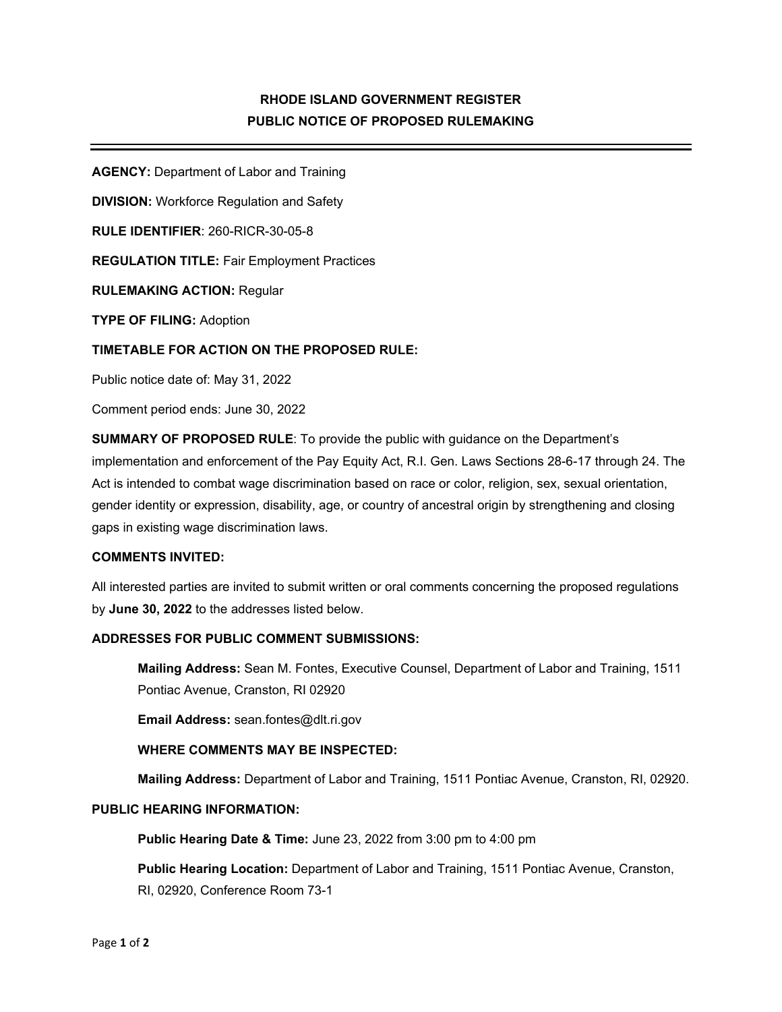# **RHODE ISLAND GOVERNMENT REGISTER PUBLIC NOTICE OF PROPOSED RULEMAKING**

**AGENCY:** Department of Labor and Training

**DIVISION:** Workforce Regulation and Safety

**RULE IDENTIFIER**: 260-RICR-30-05-8

**REGULATION TITLE:** Fair Employment Practices

**RULEMAKING ACTION:** Regular

**TYPE OF FILING:** Adoption

### **TIMETABLE FOR ACTION ON THE PROPOSED RULE:**

Public notice date of: May 31, 2022

Comment period ends: June 30, 2022

**SUMMARY OF PROPOSED RULE**: To provide the public with guidance on the Department's implementation and enforcement of the Pay Equity Act, R.I. Gen. Laws Sections 28-6-17 through 24. The Act is intended to combat wage discrimination based on race or color, religion, sex, sexual orientation, gender identity or expression, disability, age, or country of ancestral origin by strengthening and closing gaps in existing wage discrimination laws.

### **COMMENTS INVITED:**

All interested parties are invited to submit written or oral comments concerning the proposed regulations by **June 30, 2022** to the addresses listed below.

### **ADDRESSES FOR PUBLIC COMMENT SUBMISSIONS:**

**Mailing Address:** Sean M. Fontes, Executive Counsel, Department of Labor and Training, 1511 Pontiac Avenue, Cranston, RI 02920

**Email Address:** sean.fontes@dlt.ri.gov

#### **WHERE COMMENTS MAY BE INSPECTED:**

**Mailing Address:** Department of Labor and Training, 1511 Pontiac Avenue, Cranston, RI, 02920.

### **PUBLIC HEARING INFORMATION:**

**Public Hearing Date & Time:** June 23, 2022 from 3:00 pm to 4:00 pm

**Public Hearing Location:** Department of Labor and Training, 1511 Pontiac Avenue, Cranston, RI, 02920, Conference Room 73-1